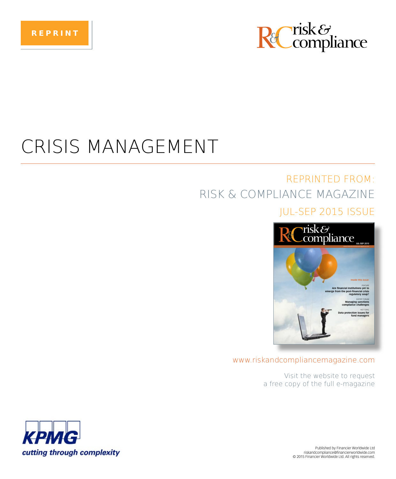

## CRISIS MANAGEMENT

### **REPRINTED FROM:** RISK & COMPLIANCE MAGAZINE

### **IUL-SEP 2015 ISSUE**



#### www.riskandcompliancemagazine.com

Visit the website to request a free copy of the full e-magazine



Published by Financier Worldwide Ltd riskandcompliance@financierworldwide.com @ 2015 Financier Worldwide Ltd. All rights reserved.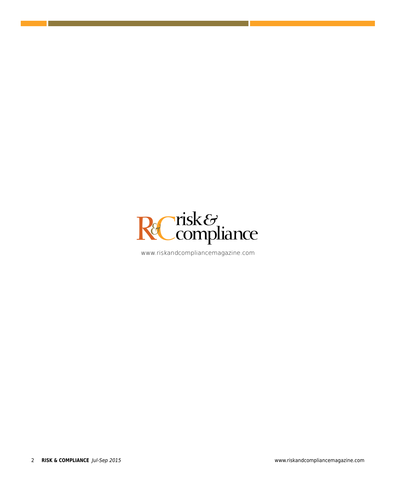

www.riskandcompliancemagazine.com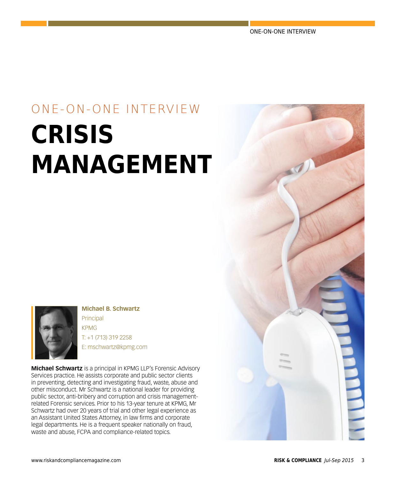ONE-ON-ONE INTERVIEW

# ONE-ON-ONE INTERVIEW **CRISIS MANAGEMENT**



**Michael B. Schwartz** Principal KPMG T: +1 (713) 319 2258 E: mschwartz@kpmg.com

**Michael Schwartz** is a principal in KPMG LLP's Forensic Advisory Services practice. He assists corporate and public sector clients in preventing, detecting and investigating fraud, waste, abuse and other misconduct. Mr Schwartz is a national leader for providing public sector, anti-bribery and corruption and crisis managementrelated Forensic services. Prior to his 13-year tenure at KPMG, Mr Schwartz had over 20 years of trial and other legal experience as an Assistant United States Attorney, in law firms and corporate legal departments. He is a frequent speaker nationally on fraud, waste and abuse, FCPA and compliance-related topics.

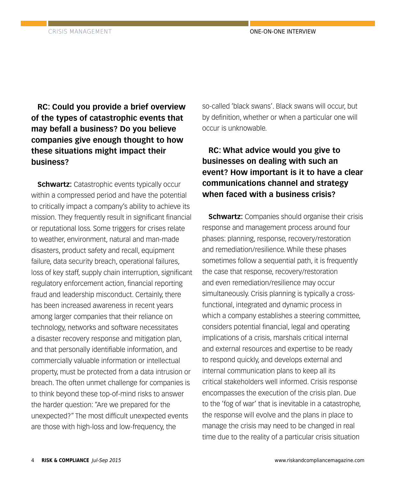**RC: Could you provide a brief overview of the types of catastrophic events that may befall a business? Do you believe companies give enough thought to how these situations might impact their business?**

**Schwartz:** Catastrophic events typically occur within a compressed period and have the potential to critically impact a company's ability to achieve its mission. They frequently result in significant financial or reputational loss. Some triggers for crises relate to weather, environment, natural and man-made disasters, product safety and recall, equipment failure, data security breach, operational failures, loss of key staff, supply chain interruption, significant regulatory enforcement action, financial reporting fraud and leadership misconduct. Certainly, there has been increased awareness in recent years among larger companies that their reliance on technology, networks and software necessitates a disaster recovery response and mitigation plan, and that personally identifiable information, and commercially valuable information or intellectual property, must be protected from a data intrusion or breach. The often unmet challenge for companies is to think beyond these top-of-mind risks to answer the harder question: "Are we prepared for the unexpected?" The most difficult unexpected events are those with high-loss and low-frequency, the

so-called 'black swans'. Black swans will occur, but by definition, whether or when a particular one will occur is unknowable.

### **RC: What advice would you give to businesses on dealing with such an event? How important is it to have a clear communications channel and strategy when faced with a business crisis?**

**Schwartz:** Companies should organise their crisis response and management process around four phases: planning, response, recovery/restoration and remediation/resilience. While these phases sometimes follow a sequential path, it is frequently the case that response, recovery/restoration and even remediation/resilience may occur simultaneously. Crisis planning is typically a crossfunctional, integrated and dynamic process in which a company establishes a steering committee, considers potential financial, legal and operating implications of a crisis, marshals critical internal and external resources and expertise to be ready to respond quickly, and develops external and internal communication plans to keep all its critical stakeholders well informed. Crisis response encompasses the execution of the crisis plan. Due to the 'fog of war' that is inevitable in a catastrophe, the response will evolve and the plans in place to manage the crisis may need to be changed in real time due to the reality of a particular crisis situation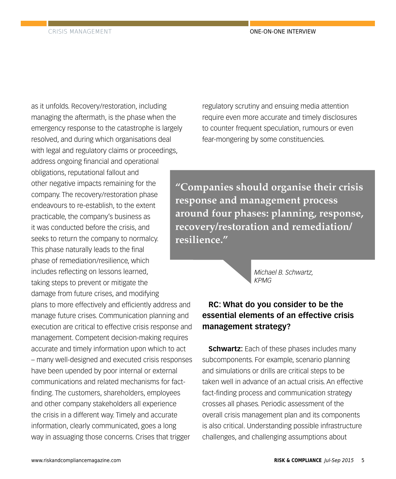as it unfolds. Recovery/restoration, including managing the aftermath, is the phase when the emergency response to the catastrophe is largely resolved, and during which organisations deal with legal and regulatory claims or proceedings, address ongoing financial and operational obligations, reputational fallout and other negative impacts remaining for the company. The recovery/restoration phase endeavours to re-establish, to the extent practicable, the company's business as it was conducted before the crisis, and seeks to return the company to normalcy. This phase naturally leads to the final phase of remediation/resilience, which includes reflecting on lessons learned, taking steps to prevent or mitigate the damage from future crises, and modifying plans to more effectively and efficiently address and manage future crises. Communication planning and execution are critical to effective crisis response and management. Competent decision-making requires accurate and timely information upon which to act – many well-designed and executed crisis responses have been upended by poor internal or external communications and related mechanisms for factfinding. The customers, shareholders, employees and other company stakeholders all experience the crisis in a different way. Timely and accurate information, clearly communicated, goes a long way in assuaging those concerns. Crises that trigger

regulatory scrutiny and ensuing media attention require even more accurate and timely disclosures to counter frequent speculation, rumours or even fear-mongering by some constituencies.

**"Companies should organise their crisis response and management process around four phases: planning, response, recovery/restoration and remediation/ resilience."**

> *Michael B. Schwartz, KPMG*

### **RC: What do you consider to be the essential elements of an effective crisis management strategy?**

**Schwartz:** Each of these phases includes many subcomponents. For example, scenario planning and simulations or drills are critical steps to be taken well in advance of an actual crisis. An effective fact-finding process and communication strategy crosses all phases. Periodic assessment of the overall crisis management plan and its components is also critical. Understanding possible infrastructure challenges, and challenging assumptions about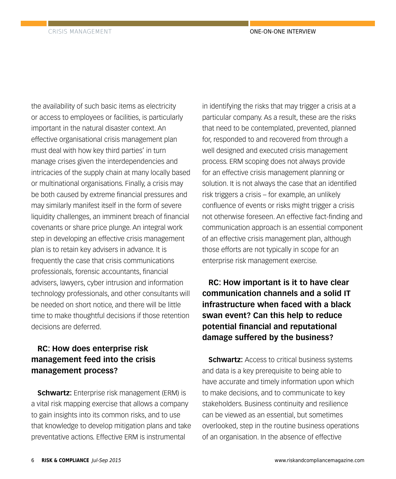the availability of such basic items as electricity or access to employees or facilities, is particularly important in the natural disaster context. An effective organisational crisis management plan must deal with how key third parties' in turn manage crises given the interdependencies and intricacies of the supply chain at many locally based or multinational organisations. Finally, a crisis may be both caused by extreme financial pressures and may similarly manifest itself in the form of severe liquidity challenges, an imminent breach of financial covenants or share price plunge. An integral work step in developing an effective crisis management plan is to retain key advisers in advance. It is frequently the case that crisis communications professionals, forensic accountants, financial advisers, lawyers, cyber intrusion and information technology professionals, and other consultants will be needed on short notice, and there will be little time to make thoughtful decisions if those retention decisions are deferred.

### **RC: How does enterprise risk management feed into the crisis management process?**

**Schwartz:** Enterprise risk management (ERM) is a vital risk mapping exercise that allows a company to gain insights into its common risks, and to use that knowledge to develop mitigation plans and take preventative actions. Effective ERM is instrumental

in identifying the risks that may trigger a crisis at a particular company. As a result, these are the risks that need to be contemplated, prevented, planned for, responded to and recovered from through a well designed and executed crisis management process. ERM scoping does not always provide for an effective crisis management planning or solution. It is not always the case that an identified risk triggers a crisis – for example, an unlikely confluence of events or risks might trigger a crisis not otherwise foreseen. An effective fact-finding and communication approach is an essential component of an effective crisis management plan, although those efforts are not typically in scope for an enterprise risk management exercise.

**RC: How important is it to have clear communication channels and a solid IT infrastructure when faced with a black swan event? Can this help to reduce potential financial and reputational damage suffered by the business?**

**Schwartz:** Access to critical business systems and data is a key prerequisite to being able to have accurate and timely information upon which to make decisions, and to communicate to key stakeholders. Business continuity and resilience can be viewed as an essential, but sometimes overlooked, step in the routine business operations of an organisation. In the absence of effective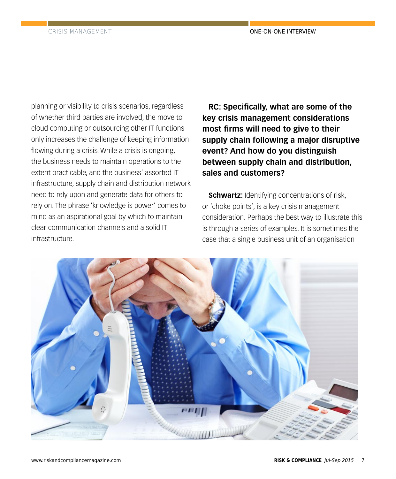planning or visibility to crisis scenarios, regardless of whether third parties are involved, the move to cloud computing or outsourcing other IT functions only increases the challenge of keeping information flowing during a crisis. While a crisis is ongoing, the business needs to maintain operations to the extent practicable, and the business' assorted IT infrastructure, supply chain and distribution network need to rely upon and generate data for others to rely on. The phrase 'knowledge is power' comes to mind as an aspirational goal by which to maintain clear communication channels and a solid IT infrastructure.

**RC: Specifically, what are some of the key crisis management considerations most firms will need to give to their supply chain following a major disruptive event? And how do you distinguish between supply chain and distribution, sales and customers?**

**Schwartz:** Identifying concentrations of risk, or 'choke points', is a key crisis management consideration. Perhaps the best way to illustrate this is through a series of examples. It is sometimes the case that a single business unit of an organisation

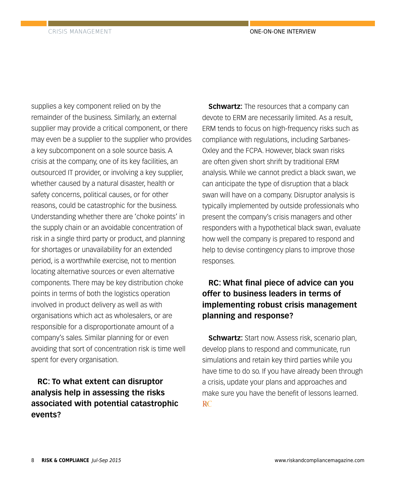supplies a key component relied on by the remainder of the business. Similarly, an external supplier may provide a critical component, or there may even be a supplier to the supplier who provides a key subcomponent on a sole source basis. A crisis at the company, one of its key facilities, an outsourced IT provider, or involving a key supplier, whether caused by a natural disaster, health or safety concerns, political causes, or for other reasons, could be catastrophic for the business. Understanding whether there are 'choke points' in the supply chain or an avoidable concentration of risk in a single third party or product, and planning for shortages or unavailability for an extended period, is a worthwhile exercise, not to mention locating alternative sources or even alternative components. There may be key distribution choke points in terms of both the logistics operation involved in product delivery as well as with organisations which act as wholesalers, or are responsible for a disproportionate amount of a company's sales. Similar planning for or even avoiding that sort of concentration risk is time well spent for every organisation.

**RC: To what extent can disruptor analysis help in assessing the risks associated with potential catastrophic events?**

**Schwartz:** The resources that a company can devote to ERM are necessarily limited. As a result, ERM tends to focus on high-frequency risks such as compliance with regulations, including Sarbanes-Oxley and the FCPA. However, black swan risks are often given short shrift by traditional ERM analysis. While we cannot predict a black swan, we can anticipate the type of disruption that a black swan will have on a company. Disruptor analysis is typically implemented by outside professionals who present the company's crisis managers and other responders with a hypothetical black swan, evaluate how well the company is prepared to respond and help to devise contingency plans to improve those responses.

### **RC: What final piece of advice can you offer to business leaders in terms of implementing robust crisis management planning and response?**

**Schwartz:** Start now. Assess risk, scenario plan, develop plans to respond and communicate, run simulations and retain key third parties while you have time to do so. If you have already been through a crisis, update your plans and approaches and make sure you have the benefit of lessons learned. R<sub>C</sub>